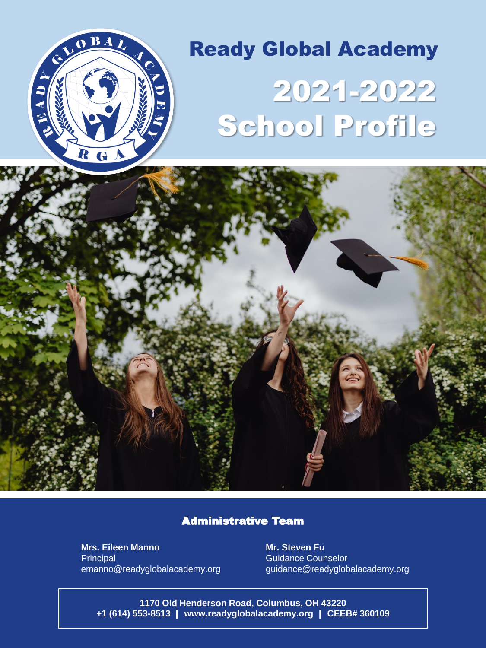

# 2021-2022 School Profile Ready Global Academy



### Administrative Team

**Mrs. Eileen Manno Principal** emanno@readyglobalacademy.org

**Mr. Steven Fu** Guidance Counselor guidance@readyglobalacademy.org

**1170 Old Henderson Road, Columbus, OH 43220 +1 (614) 553-8513** | **www.readyglobalacademy.org** | **CEEB# 360109**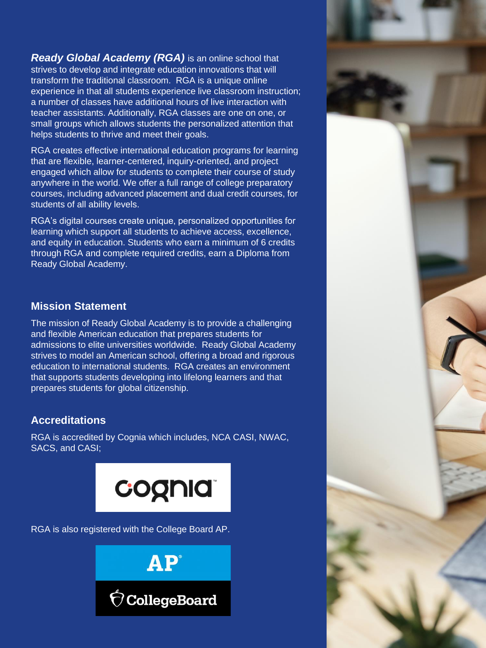*Ready Global Academy (RGA)* is an online school that strives to develop and integrate education innovations that will transform the traditional classroom. RGA is a unique online experience in that all students experience live classroom instruction; a number of classes have additional hours of live interaction with teacher assistants. Additionally, RGA classes are one on one, or small groups which allows students the personalized attention that helps students to thrive and meet their goals.

RGA creates effective international education programs for learning that are flexible, learner-centered, inquiry-oriented, and project engaged which allow for students to complete their course of study anywhere in the world. We offer a full range of college preparatory courses, including advanced placement and dual credit courses, for students of all ability levels.

RGA's digital courses create unique, personalized opportunities for learning which support all students to achieve access, excellence, and equity in education. Students who earn a minimum of 6 credits through RGA and complete required credits, earn a Diploma from Ready Global Academy.

### **Mission Statement**

The mission of Ready Global Academy is to provide a challenging and flexible American education that prepares students for admissions to elite universities worldwide. Ready Global Academy strives to model an American school, offering a broad and rigorous education to international students. RGA creates an environment that supports students developing into lifelong learners and that prepares students for global citizenship.

## **Accreditations**

RGA is accredited by Cognia which includes, NCA CASI, NWAC, SACS, and CASI;



RGA is also registered with the College Board AP.



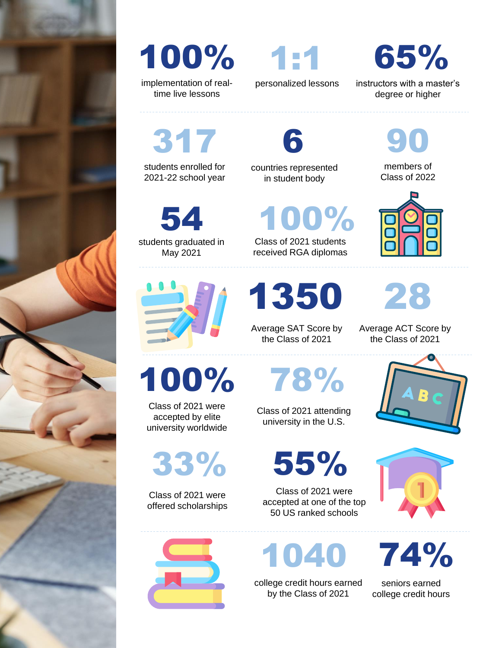



implementation of realtime live lessons

personalized lessons

65%

instructors with a master's degree or higher

> members of Class of 2022

90

317

students enrolled for 2021-22 school year

students graduated in 54

May 2021



Class of 2021 were offered scholarships

33%

Class of 2021 were accepted by elite university worldwide in student body

countries represented

6

Class of 2021 students 100%

received RGA diplomas

1350

Average SAT Score by the Class of 2021

100% 78%

Class of 2021 were accepted at one of the top 50 US ranked schools

1040

college credit hours earned by the Class of 2021



74%

seniors earned college credit hours

university in the U.S.

Class of 2021 attending

55%



Average ACT Score by

28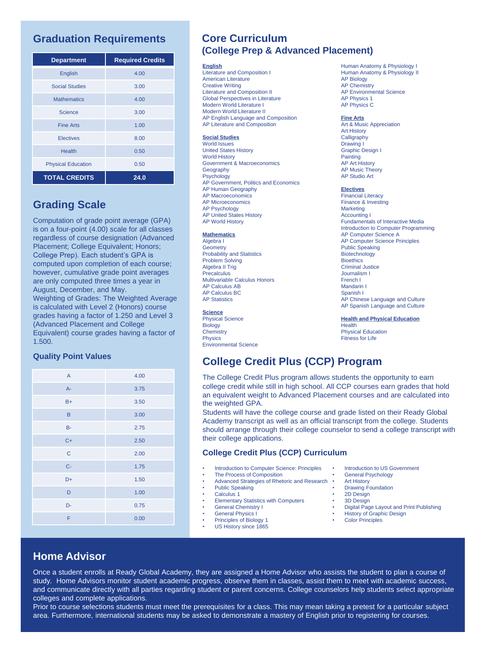## **Graduation Requirements**

| <b>Department</b>         | <b>Required Credits</b> |
|---------------------------|-------------------------|
| English                   | 4.00                    |
| <b>Social Studies</b>     | 3.00                    |
| <b>Mathematics</b>        | 4.00                    |
| Science                   | 3.00                    |
| <b>Fine Arts</b>          | 1.00                    |
| <b>Electives</b>          | 8.00                    |
| <b>Health</b>             | 0.50                    |
| <b>Physical Education</b> | 0.50                    |
| <b>TOTAL CREDITS</b>      | 24.0                    |

## **Grading Scale**

Computation of grade point average (GPA) is on a four-point (4.00) scale for all classes regardless of course designation (Advanced Placement; College Equivalent; Honors; College Prep). Each student's GPA is computed upon completion of each course; however, cumulative grade point averages are only computed three times a year in August, December, and May. Weighting of Grades: The Weighted Average is calculated with Level 2 (Honors) course grades having a factor of 1.250 and Level 3 (Advanced Placement and College Equivalent) course grades having a factor of 1.500.

#### **Quality Point Values**

| $\mathsf{A}$ | 4.00 |
|--------------|------|
| $A -$        | 3.75 |
| $B+$         | 3.50 |
| B            | 3.00 |
| $B -$        | 2.75 |
| $C+$         | 2.50 |
| $\mathbf C$  | 2.00 |
| $C -$        | 1.75 |
| D+           | 1.50 |
| D            | 1.00 |
| D-           | 0.75 |
| F            | 0.00 |

## **Core Curriculum (College Prep & Advanced Placement)**

#### **English**

Literature and Composition I American Literature Creative Writing Literature and Composition II Global Perspectives in Literature Modern World Literature I Modern World Literature II AP English Language and Composition AP Literature and Composition

#### **Social Studies**

World Issues United States History World History Government & Macroeconomics **Geography** Psychology AP Government, Politics and Economics AP Human Geography AP Macroeconomics AP Microeconomics AP Psychology AP United States History AP World History

#### **Mathematics**

Algebra I Geometry Probability and Statistics Problem Solving Algebra II Trig **Precalculus** Multivariable Calculus Honors AP Calculus AB AP Calculus BC **AP Statistics** 

#### **Science**

Physical Science Biology **Chemistry** Physics Environmental Science

#### Human Anatomy & Physiology I Human Anatomy & Physiology II AP Biology AP Chemistry AP Environmental Science AP Physics 1 AP Physics C

#### **Fine Arts**

Art & Music Appreciation Art History Calligraphy Drawing I Graphic Design I **Painting** AP Art History AP Music Theory AP Studio Art

#### **Electives**

Financial Literacy Finance & Investing **Marketing** Accounting I Fundamentals of Interactive Media Introduction to Computer Programming AP Computer Science A AP Computer Science Principles Public Speaking **Biotechnology Bioethics** Criminal Justice Journalism I French I Mandarin I Spanish I AP Chinese Language and Culture AP Spanish Language and Culture

**Health and Physical Education**

**Health** Physical Education Fitness for Life

## **College Credit Plus (CCP) Program**

The College Credit Plus program allows students the opportunity to earn college credit while still in high school. All CCP courses earn grades that hold an equivalent weight to Advanced Placement courses and are calculated into the weighted GPA.

Students will have the college course and grade listed on their Ready Global Academy transcript as well as an official transcript from the college. Students should arrange through their college counselor to send a college transcript with their college applications.

#### **College Credit Plus (CCP) Curriculum**

- Introduction to Computer Science: Principles
- The Process of Composition
- Advanced Strategies of Rhetoric and Research •
- Public Speaking Calculus 1
- 
- Elementary Statistics with Computers General Chemistry I
- General Physics I
- Principles of Biology 1
- US History since 1865
	-
- Introduction to US Government
- General Psychology
- **Art History**
- **Drawing Foundation** • 2D Design
- 
- 3D Design<br>• Digital Pag • Digital Page Layout and Print Publishing
- **History of Graphic Design**
- Color Principles

## **Home Advisor**

Once a student enrolls at Ready Global Academy, they are assigned a Home Advisor who assists the student to plan a course of study. Home Advisors monitor student academic progress, observe them in classes, assist them to meet with academic success, and communicate directly with all parties regarding student or parent concerns. College counselors help students select appropriate colleges and complete applications.

Prior to course selections students must meet the prerequisites for a class. This may mean taking a pretest for a particular subject area. Furthermore, international students may be asked to demonstrate a mastery of English prior to registering for courses.